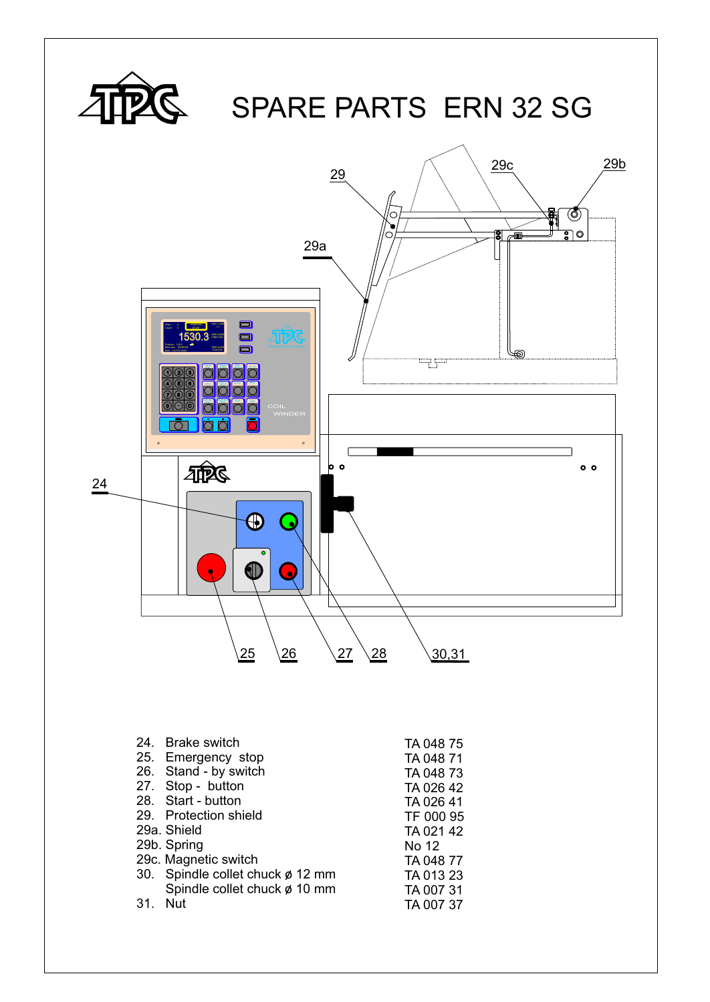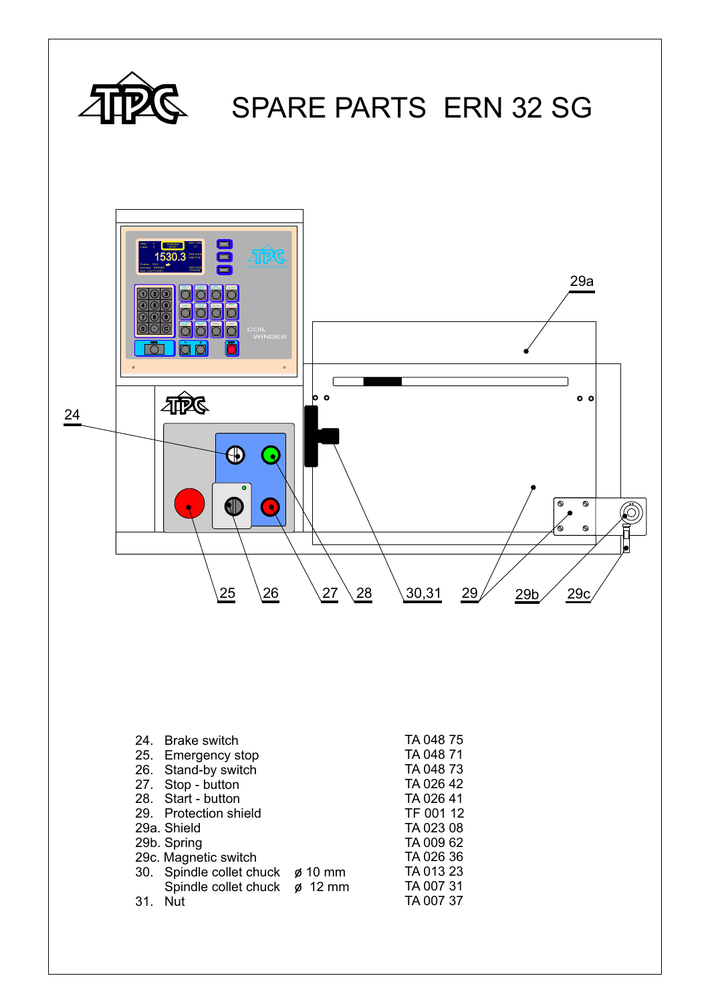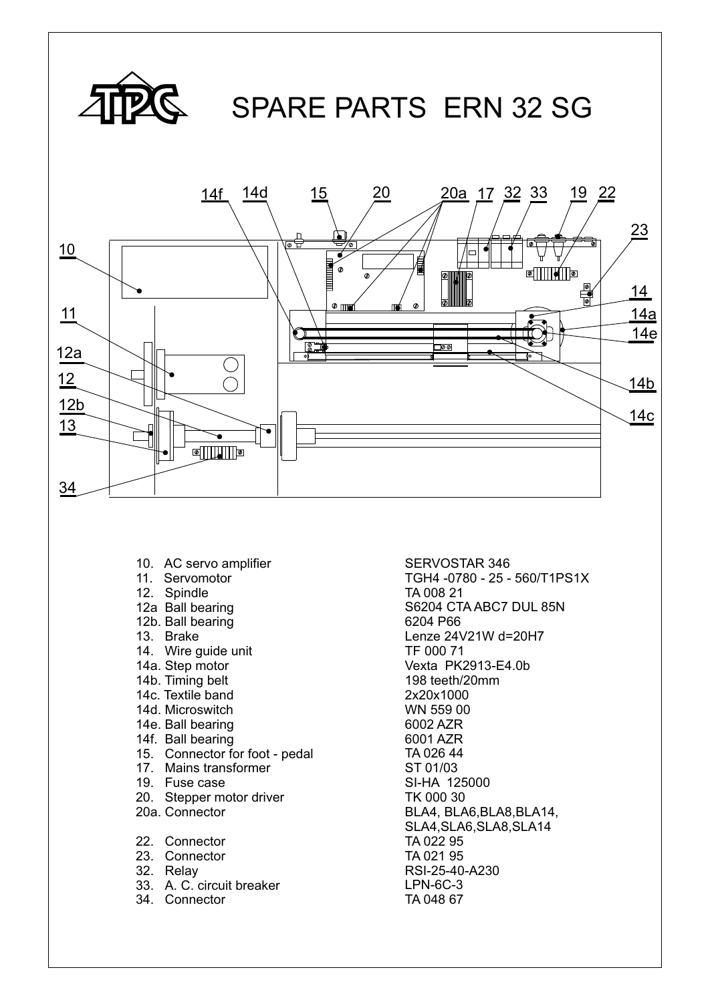

- 10. AC servo amplifier
- 11. Servomotor
- 12. Spindle
- 12a Ball bearing
- 12b. Ball bearing
- 13. Brake
- 14. Wire guide unit
- 14a. Step motor
- 14b. Timing belt
- 14c. Textile band
- 14d. Microswitch
- 14e. Ball bearing
- 14f. Ball bearing
- 15. Connector for foot pedal
- 17. Mains transformer
- 19. Fuse case
- 20. Stepper motor driver
- 20a. Connector
- 22. Connector
- 23. Connector
- 32. Relay
- 33. A. C. circuit breaker
- 34. Connector

SERVOSTAR 346 TGH4 -0780 - 25 - 560/T1PS1X TA 008 21 TF 000 71 Vexta PK2913-E4.0b 198 teeth/20mm 6002 AZR 6001 AZR SI-HA 125000 TK 000 30 BLA4, BLA6,BLA8,BLA14, SLA4,SLA6,SLA8,SLA14 TA 022 95 TA 021 95 RSI-25-40-A230 LPN-6C-3 TA 048 67 S6204 CTA ABC7 DUL 85N 6204 P66 Lenze 24V21W d=20H7 2x20x1000 WN 559 00 TA 026 44 ST 01/03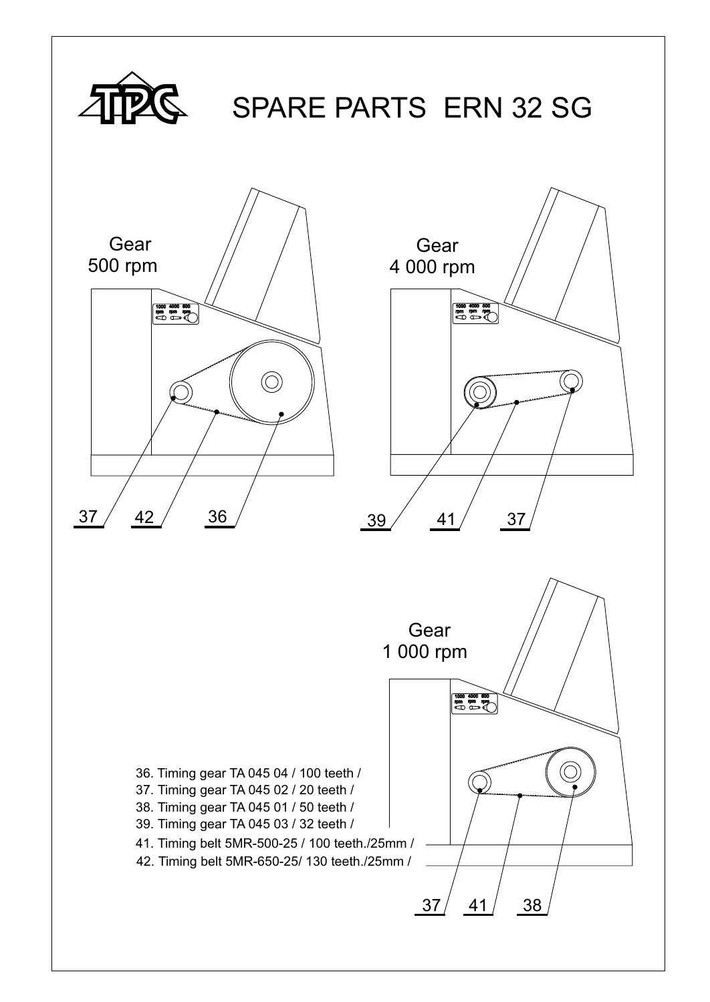![](_page_3_Figure_0.jpeg)